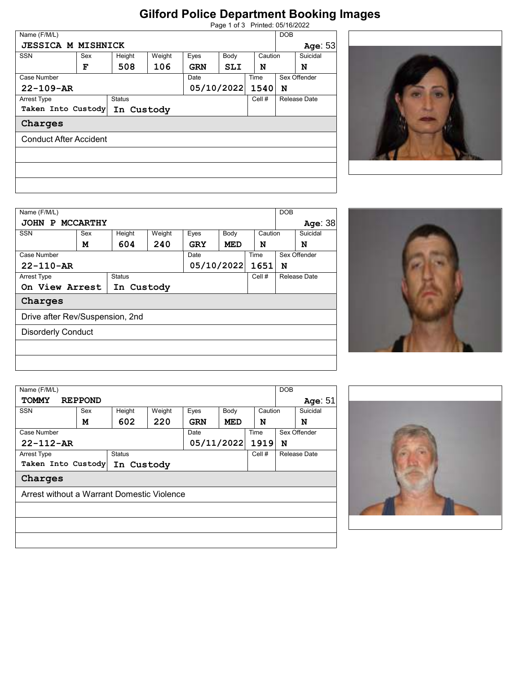## **Gilford Police Department Booking Images**

| Page 1 of 3 Printed: 05/16/2022 |  |
|---------------------------------|--|
|                                 |  |

| Name (F/M/L)                        |            |        |            |            |      |              | <b>DOB</b> |              |
|-------------------------------------|------------|--------|------------|------------|------|--------------|------------|--------------|
| <b>JESSICA M MISHNICK</b>           |            |        |            |            |      |              |            | Age: 53      |
| <b>SSN</b>                          | Sex        | Height | Weight     | Eyes       | Body | Caution      |            | Suicidal     |
|                                     | F          | 508    | 106        | <b>GRN</b> | SLI  | N            |            | N            |
| Case Number                         |            |        |            | Date       |      | Time         |            | Sex Offender |
| $22 - 109 - AR$                     |            |        | 05/10/2022 |            | 1540 | N            |            |              |
| <b>Status</b><br><b>Arrest Type</b> |            |        |            | Cell #     |      | Release Date |            |              |
| Taken Into Custody                  | In Custody |        |            |            |      |              |            |              |
| Charges                             |            |        |            |            |      |              |            |              |
| <b>Conduct After Accident</b>       |            |        |            |            |      |              |            |              |
|                                     |            |        |            |            |      |              |            |              |
|                                     |            |        |            |            |      |              |            |              |
|                                     |            |        |            |            |      |              |            |              |
|                                     |            |        |            |            |      |              |            |              |
|                                     |            |        |            |            |      |              |            |              |



| Name (F/M/L)                    |     |               |        |      |            |              | <b>DOB</b> |              |
|---------------------------------|-----|---------------|--------|------|------------|--------------|------------|--------------|
| JOHN P MCCARTHY                 |     |               |        |      |            |              |            | Age: 38      |
| <b>SSN</b>                      | Sex | Height        | Weight | Eyes | Body       | Caution      |            | Suicidal     |
|                                 | м   | 604           | 240    | GRY  | MED        | N            |            | N            |
| Case Number                     |     |               |        | Date |            | Time         |            | Sex Offender |
| $22 - 110 - AR$                 |     |               |        |      | 05/10/2022 | 1651         | N          |              |
| <b>Arrest Type</b>              |     | <b>Status</b> |        |      | Cell #     | Release Date |            |              |
| On View Arrest                  |     | In Custody    |        |      |            |              |            |              |
| Charges                         |     |               |        |      |            |              |            |              |
| Drive after Rev/Suspension, 2nd |     |               |        |      |            |              |            |              |
| <b>Disorderly Conduct</b>       |     |               |        |      |            |              |            |              |
|                                 |     |               |        |      |            |              |            |              |
|                                 |     |               |        |      |            |              |            |              |



| Name (F/M/L)       |                                            |            |        |                         |            |        | <b>DOB</b>   |  |
|--------------------|--------------------------------------------|------------|--------|-------------------------|------------|--------|--------------|--|
| <b>TOMMY</b>       | <b>REPPOND</b>                             |            |        |                         |            |        | Age: 51      |  |
| <b>SSN</b>         | Sex                                        | Height     | Weight | Body<br>Caution<br>Eyes |            |        | Suicidal     |  |
|                    | м                                          | 602        | 220    | <b>GRN</b>              | MED        | N      | N            |  |
| Case Number        |                                            |            |        | Date                    |            | Time   | Sex Offender |  |
| $22 - 112 - AR$    |                                            |            |        |                         | 05/11/2022 | 1919   | N            |  |
| <b>Arrest Type</b> | <b>Status</b>                              |            |        |                         |            | Cell # | Release Date |  |
|                    | Taken Into Custody                         | In Custody |        |                         |            |        |              |  |
| Charges            |                                            |            |        |                         |            |        |              |  |
|                    | Arrest without a Warrant Domestic Violence |            |        |                         |            |        |              |  |
|                    |                                            |            |        |                         |            |        |              |  |
|                    |                                            |            |        |                         |            |        |              |  |
|                    |                                            |            |        |                         |            |        |              |  |
|                    |                                            |            |        |                         |            |        |              |  |
|                    |                                            |            |        |                         |            |        |              |  |

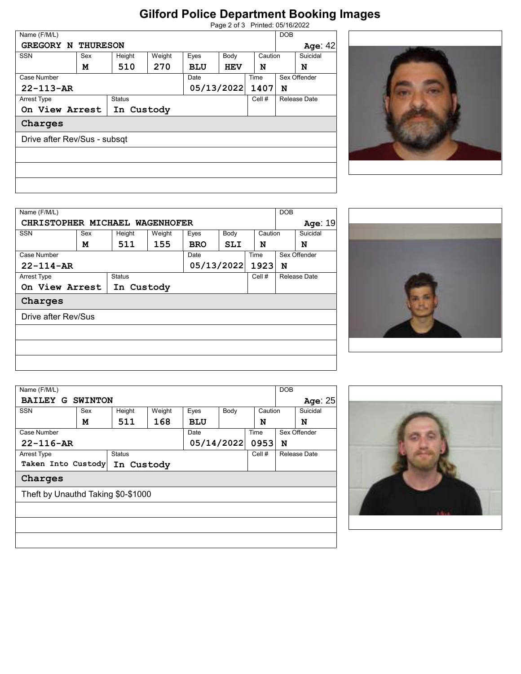## **Gilford Police Department Booking Images**

| Page 2 of 3 Printed: 05/16/2022 |
|---------------------------------|
|                                 |

| Name (F/M/L)                 |     |            |                        |            |                    |      |              |              |  |  |
|------------------------------|-----|------------|------------------------|------------|--------------------|------|--------------|--------------|--|--|
|                              |     |            |                        |            |                    |      | DOB          |              |  |  |
| <b>GREGORY N THURESON</b>    |     |            |                        |            |                    |      |              | Age: 42      |  |  |
| SSN                          | Sex | Height     | Weight<br>Eyes<br>Body |            | Caution            |      | Suicidal     |              |  |  |
|                              | м   | 510        | 270                    | <b>BLU</b> | <b>HEV</b>         | N    |              | N            |  |  |
| Case Number                  |     |            |                        | Date       |                    | Time |              | Sex Offender |  |  |
| $22 - 113 - AR$              |     |            |                        |            | 05/13/2022<br>1407 |      |              | N            |  |  |
| <b>Status</b><br>Arrest Type |     |            |                        | Cell #     |                    |      | Release Date |              |  |  |
| On View Arrest               |     | In Custody |                        |            |                    |      |              |              |  |  |
| Charges                      |     |            |                        |            |                    |      |              |              |  |  |
| Drive after Rev/Sus - subsqt |     |            |                        |            |                    |      |              |              |  |  |
|                              |     |            |                        |            |                    |      |              |              |  |  |
|                              |     |            |                        |            |                    |      |              |              |  |  |
|                              |     |            |                        |            |                    |      |              |              |  |  |



| Name (F/M/L)       |                                |               |            |            |            |              | <b>DOB</b>   |          |
|--------------------|--------------------------------|---------------|------------|------------|------------|--------------|--------------|----------|
|                    | CHRISTOPHER MICHAEL WAGENHOFER |               |            |            |            |              |              | Age: 19  |
| <b>SSN</b>         | Sex                            | Height        | Weight     | Eyes       | Body       | Caution      |              | Suicidal |
|                    | м                              | 511           | 155        | <b>BRO</b> | SLI        | N            |              | N        |
| Case Number        |                                |               | Date       |            | Time       |              | Sex Offender |          |
| $22 - 114 - AR$    |                                |               |            |            | 05/13/2022 | 1923         | N            |          |
| <b>Arrest Type</b> |                                | <b>Status</b> |            |            | Cell #     | Release Date |              |          |
|                    | On View Arrest                 |               | In Custody |            |            |              |              |          |
| Charges            |                                |               |            |            |            |              |              |          |
|                    | Drive after Rev/Sus            |               |            |            |            |              |              |          |
|                    |                                |               |            |            |            |              |              |          |
|                    |                                |               |            |            |            |              |              |          |
|                    |                                |               |            |            |            |              |              |          |



| Name (F/M/L)       |                                    |            |        |                         |              |      | <b>DOB</b> |              |
|--------------------|------------------------------------|------------|--------|-------------------------|--------------|------|------------|--------------|
|                    | <b>BAILEY G SWINTON</b>            |            |        |                         |              |      |            | Age: 25      |
| <b>SSN</b>         | Sex                                | Height     | Weight | Caution<br>Eyes<br>Body |              |      |            | Suicidal     |
|                    | м                                  | 511        | 168    | <b>BLU</b>              |              | N    |            | N            |
| Case Number        |                                    |            |        | Date                    |              | Time |            | Sex Offender |
| $22 - 116 - AR$    |                                    |            |        |                         | 05/14/2022   | 0953 | N          |              |
| <b>Arrest Type</b> | <b>Status</b><br>Cell #            |            |        |                         | Release Date |      |            |              |
|                    | Taken Into Custody                 | In Custody |        |                         |              |      |            |              |
| Charges            |                                    |            |        |                         |              |      |            |              |
|                    | Theft by Unauthd Taking \$0-\$1000 |            |        |                         |              |      |            |              |
|                    |                                    |            |        |                         |              |      |            |              |
|                    |                                    |            |        |                         |              |      |            |              |
|                    |                                    |            |        |                         |              |      |            |              |
|                    |                                    |            |        |                         |              |      |            |              |
|                    |                                    |            |        |                         |              |      |            |              |